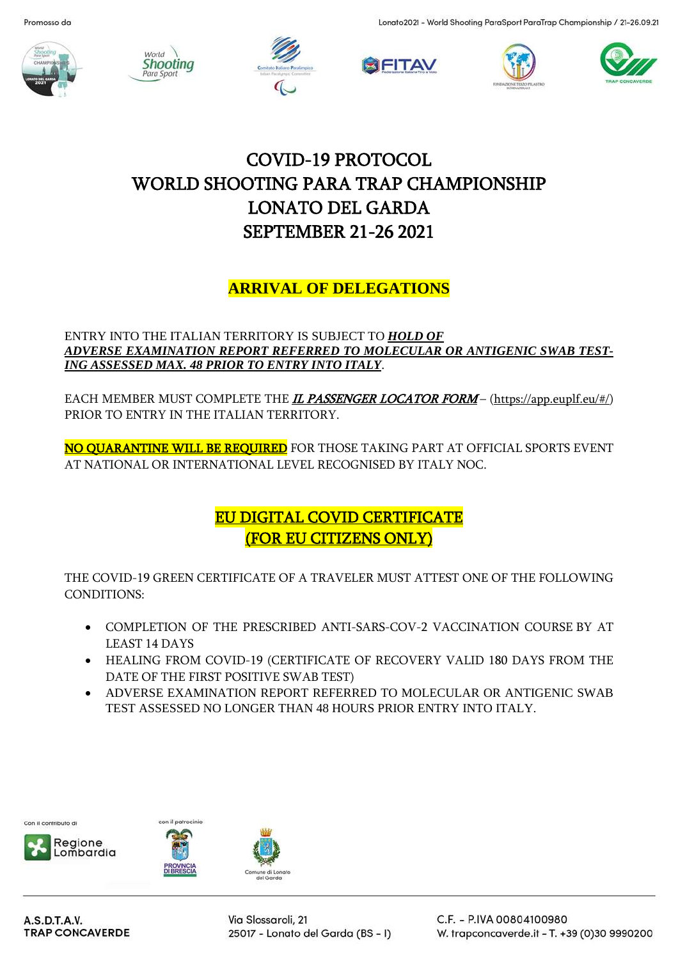











# COVID-19 PROTOCOL WORLD SHOOTING PARA TRAP CHAMPIONSHIP LONATO DEL GARDA SEPTEMBER 21-26 2021

## **ARRIVAL OF DELEGATIONS**

#### ENTRY INTO THE ITALIAN TERRITORY IS SUBJECT TO *HOLD OF ADVERSE EXAMINATION REPORT REFERRED TO MOLECULAR OR ANTIGENIC SWAB TEST-ING ASSESSED MAX. 48 PRIOR TO ENTRY INTO ITALY*.

EACH MEMBER MUST COMPLETE THE *I[L PASSENGER LOCATOR FORM](http://app.euplf.eu/#/)* – [\(https://app.euplf.eu/#/\)](https://app.euplf.eu/#/) PRIOR TO ENTRY IN THE ITALIAN TERRITORY.

NO QUARANTINE WILL BE REQUIRED FOR THOSE TAKING PART AT OFFICIAL SPORTS EVENT AT NATIONAL OR INTERNATIONAL LEVEL RECOGNISED BY ITALY NOC.

## EU DIGITAL COVID CERTIFICATE (FOR EU CITIZENS ONLY)

THE COVID-19 GREEN CERTIFICATE OF A TRAVELER MUST ATTEST ONE OF THE FOLLOWING CONDITIONS:

- COMPLETION OF THE PRESCRIBED ANTI-SARS-COV-2 VACCINATION COURSE BY AT LEAST 14 DAYS
- HEALING FROM COVID-19 (CERTIFICATE OF RECOVERY VALID 180 DAYS FROM THE DATE OF THE FIRST POSITIVE SWAB TEST)
- ADVERSE EXAMINATION REPORT REFERRED TO MOLECULAR OR ANTIGENIC SWAB TEST ASSESSED NO LONGER THAN 48 HOURS PRIOR ENTRY INTO ITALY.







A.S.D.T.A.V. **TRAP CONCAVERDE**  Via Slossaroli, 21 25017 - Lonato del Garda (BS - I) C.F. - P.IVA 00804100980 W. trapconcaverde.it - T. +39 (0)30 9990200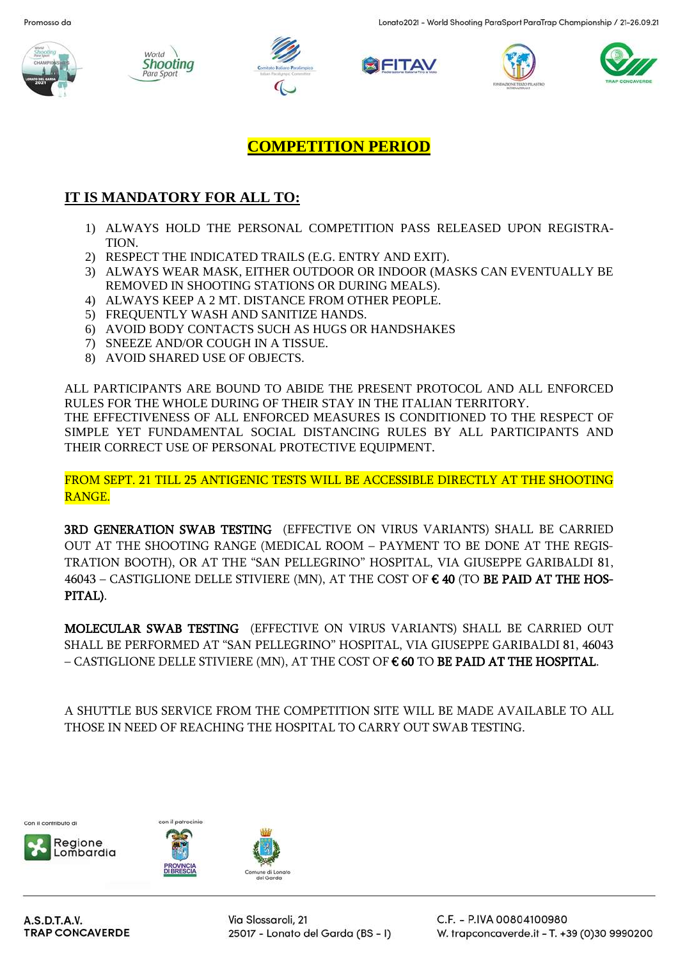











#### **COMPETITION PERIOD**

#### **IT IS MANDATORY FOR ALL TO:**

- 1) ALWAYS HOLD THE PERSONAL COMPETITION PASS RELEASED UPON REGISTRA-TION.
- 2) RESPECT THE INDICATED TRAILS (E.G. ENTRY AND EXIT).
- 3) ALWAYS WEAR MASK, EITHER OUTDOOR OR INDOOR (MASKS CAN EVENTUALLY BE REMOVED IN SHOOTING STATIONS OR DURING MEALS).
- 4) ALWAYS KEEP A 2 MT. DISTANCE FROM OTHER PEOPLE.
- 5) FREQUENTLY WASH AND SANITIZE HANDS.
- 6) AVOID BODY CONTACTS SUCH AS HUGS OR HANDSHAKES
- 7) SNEEZE AND/OR COUGH IN A TISSUE.
- 8) AVOID SHARED USE OF OBJECTS.

ALL PARTICIPANTS ARE BOUND TO ABIDE THE PRESENT PROTOCOL AND ALL ENFORCED RULES FOR THE WHOLE DURING OF THEIR STAY IN THE ITALIAN TERRITORY. THE EFFECTIVENESS OF ALL ENFORCED MEASURES IS CONDITIONED TO THE RESPECT OF SIMPLE YET FUNDAMENTAL SOCIAL DISTANCING RULES BY ALL PARTICIPANTS AND THEIR CORRECT USE OF PERSONAL PROTECTIVE EQUIPMENT.

FROM SEPT. 21 TILL 25 ANTIGENIC TESTS WILL BE ACCESSIBLE DIRECTLY AT THE SHOOTING RANGE.

3RD GENERATION SWAB TESTING (EFFECTIVE ON VIRUS VARIANTS) SHALL BE CARRIED OUT AT THE SHOOTING RANGE (MEDICAL ROOM – PAYMENT TO BE DONE AT THE REGIS-TRATION BOOTH), OR AT THE "SAN PELLEGRINO" HOSPITAL, VIA GIUSEPPE GARIBALDI 81,  $46043$  – CASTIGLIONE DELLE STIVIERE (MN), AT THE COST OF  $\epsilon$  40 (TO BE PAID AT THE HOS-PITAL).

MOLECULAR SWAB TESTING (EFFECTIVE ON VIRUS VARIANTS) SHALL BE CARRIED OUT SHALL BE PERFORMED AT "SAN PELLEGRINO" HOSPITAL, VIA GIUSEPPE GARIBALDI 81, 46043  $-$  CASTIGLIONE DELLE STIVIERE (MN), AT THE COST OF  $\epsilon$  60 TO BE PAID AT THE HOSPITAL.

A SHUTTLE BUS SERVICE FROM THE COMPETITION SITE WILL BE MADE AVAILABLE TO ALL THOSE IN NEED OF REACHING THE HOSPITAL TO CARRY OUT SWAB TESTING.







Via Slossaroli, 21 25017 - Lonato del Garda (BS - I)

del Gardo

C.F. - P.IVA 00804100980 W. trapconcaverde.it - T. +39 (0)30 9990200

A.S.D.T.A.V. **TRAP CONCAVERDE**